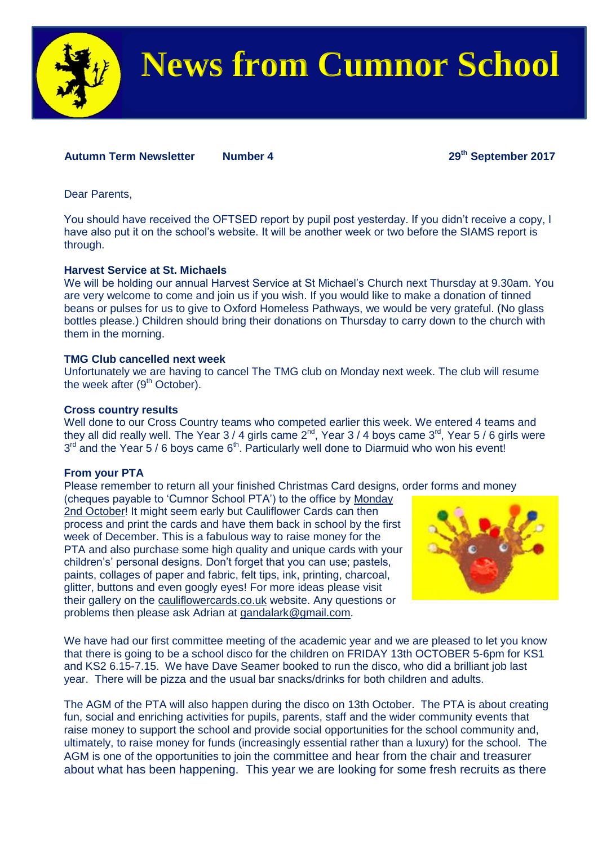

# **News from Cumnor School**

# **Autumn Term Newsletter Number 4 29th September 2017**

Dear Parents,

You should have received the OFTSED report by pupil post yesterday. If you didn't receive a copy, I have also put it on the school's website. It will be another week or two before the SIAMS report is through.

### **Harvest Service at St. Michaels**

We will be holding our annual Harvest Service at St Michael's Church next Thursday at 9.30am. You are very welcome to come and join us if you wish. If you would like to make a donation of tinned beans or pulses for us to give to Oxford Homeless Pathways, we would be very grateful. (No glass bottles please.) Children should bring their donations on Thursday to carry down to the church with them in the morning.

## **TMG Club cancelled next week**

Unfortunately we are having to cancel The TMG club on Monday next week. The club will resume the week after (9<sup>th</sup> October).

### **Cross country results**

Well done to our Cross Country teams who competed earlier this week. We entered 4 teams and they all did really well. The Year 3 / 4 girls came  $2^{nd}$ , Year 3 / 4 boys came 3<sup>rd</sup>, Year 5 / 6 girls were  $3<sup>rd</sup>$  and the Year 5 / 6 boys came 6<sup>th</sup>. Particularly well done to Diarmuid who won his event!

# **From your PTA**

Please remember to return all your finished Christmas Card designs, order forms and money

(cheques payable to 'Cumnor School PTA') to the office by Monday 2nd October! It might seem early but Cauliflower Cards can then process and print the cards and have them back in school by the first week of December. This is a fabulous way to raise money for the PTA and also purchase some high quality and unique cards with your children's' personal designs. Don't forget that you can use; pastels, paints, collages of paper and fabric, felt tips, ink, printing, charcoal, glitter, buttons and even googly eyes! For more ideas please visit their gallery on the [cauliflowercards.co.uk](http://cauliflowercards.co.uk/) website. Any questions or problems then please ask Adrian at [gandalark@gmail.com.](mailto:gandalark@gmail.com)



We have had our first committee meeting of the academic year and we are pleased to let you know that there is going to be a school disco for the children on FRIDAY 13th OCTOBER 5-6pm for KS1 and KS2 6.15-7.15. We have Dave Seamer booked to run the disco, who did a brilliant job last year. There will be pizza and the usual bar snacks/drinks for both children and adults.

The AGM of the PTA will also happen during the disco on 13th October. The PTA is about creating fun, social and enriching activities for pupils, parents, staff and the wider community events that raise money to support the school and provide social opportunities for the school community and, ultimately, to raise money for funds (increasingly essential rather than a luxury) for the school. The AGM is one of the opportunities to join the committee and hear from the chair and treasurer about what has been happening. This year we are looking for some fresh recruits as there